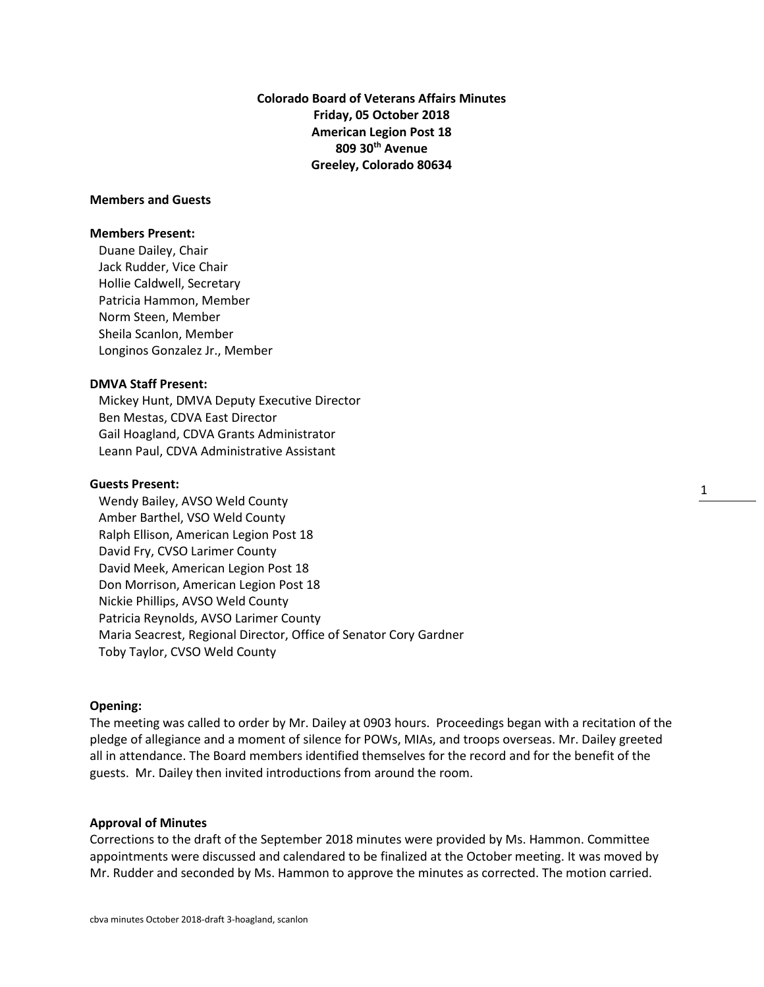**Colorado Board of Veterans Affairs Minutes Friday, 05 October 2018 American Legion Post 18 809 30th Avenue Greeley, Colorado 80634**

### **Members and Guests**

### **Members Present:**

Duane Dailey, Chair Jack Rudder, Vice Chair Hollie Caldwell, Secretary Patricia Hammon, Member Norm Steen, Member Sheila Scanlon, Member Longinos Gonzalez Jr., Member

## **DMVA Staff Present:**

Mickey Hunt, DMVA Deputy Executive Director Ben Mestas, CDVA East Director Gail Hoagland, CDVA Grants Administrator Leann Paul, CDVA Administrative Assistant

## **Guests Present:**

Wendy Bailey, AVSO Weld County Amber Barthel, VSO Weld County Ralph Ellison, American Legion Post 18 David Fry, CVSO Larimer County David Meek, American Legion Post 18 Don Morrison, American Legion Post 18 Nickie Phillips, AVSO Weld County Patricia Reynolds, AVSO Larimer County Maria Seacrest, Regional Director, Office of Senator Cory Gardner Toby Taylor, CVSO Weld County

## **Opening:**

The meeting was called to order by Mr. Dailey at 0903 hours. Proceedings began with a recitation of the pledge of allegiance and a moment of silence for POWs, MIAs, and troops overseas. Mr. Dailey greeted all in attendance. The Board members identified themselves for the record and for the benefit of the guests. Mr. Dailey then invited introductions from around the room.

1

### **Approval of Minutes**

Corrections to the draft of the September 2018 minutes were provided by Ms. Hammon. Committee appointments were discussed and calendared to be finalized at the October meeting. It was moved by Mr. Rudder and seconded by Ms. Hammon to approve the minutes as corrected. The motion carried.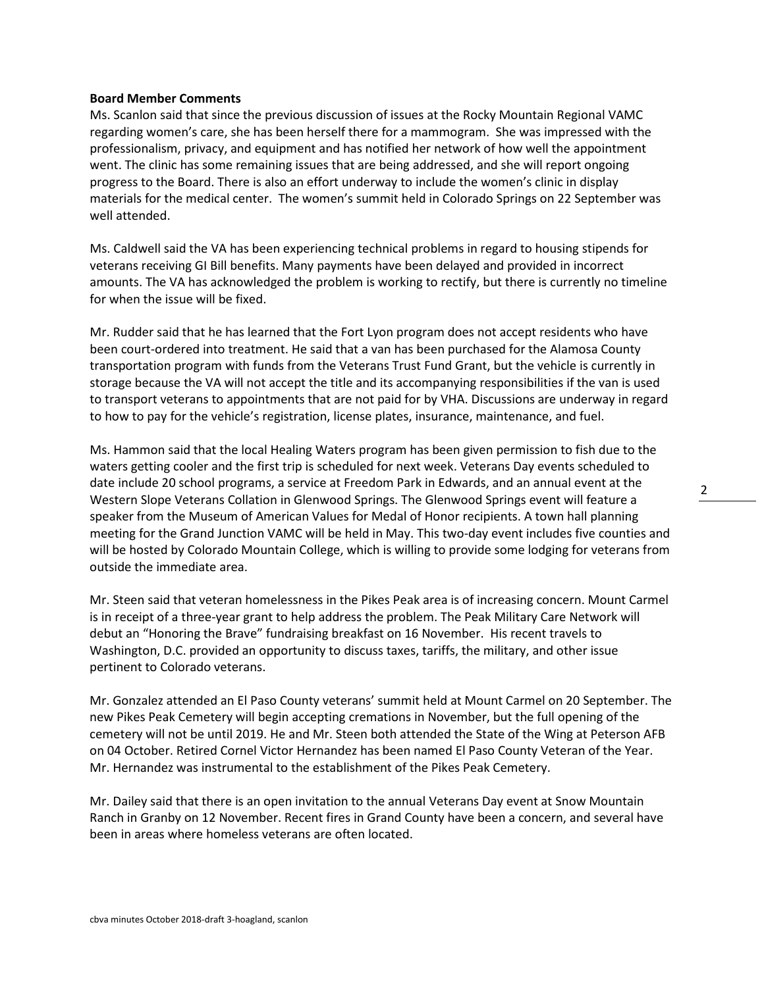### **Board Member Comments**

Ms. Scanlon said that since the previous discussion of issues at the Rocky Mountain Regional VAMC regarding women's care, she has been herself there for a mammogram. She was impressed with the professionalism, privacy, and equipment and has notified her network of how well the appointment went. The clinic has some remaining issues that are being addressed, and she will report ongoing progress to the Board. There is also an effort underway to include the women's clinic in display materials for the medical center. The women's summit held in Colorado Springs on 22 September was well attended.

Ms. Caldwell said the VA has been experiencing technical problems in regard to housing stipends for veterans receiving GI Bill benefits. Many payments have been delayed and provided in incorrect amounts. The VA has acknowledged the problem is working to rectify, but there is currently no timeline for when the issue will be fixed.

Mr. Rudder said that he has learned that the Fort Lyon program does not accept residents who have been court-ordered into treatment. He said that a van has been purchased for the Alamosa County transportation program with funds from the Veterans Trust Fund Grant, but the vehicle is currently in storage because the VA will not accept the title and its accompanying responsibilities if the van is used to transport veterans to appointments that are not paid for by VHA. Discussions are underway in regard to how to pay for the vehicle's registration, license plates, insurance, maintenance, and fuel.

Ms. Hammon said that the local Healing Waters program has been given permission to fish due to the waters getting cooler and the first trip is scheduled for next week. Veterans Day events scheduled to date include 20 school programs, a service at Freedom Park in Edwards, and an annual event at the Western Slope Veterans Collation in Glenwood Springs. The Glenwood Springs event will feature a speaker from the Museum of American Values for Medal of Honor recipients. A town hall planning meeting for the Grand Junction VAMC will be held in May. This two-day event includes five counties and will be hosted by Colorado Mountain College, which is willing to provide some lodging for veterans from outside the immediate area.

Mr. Steen said that veteran homelessness in the Pikes Peak area is of increasing concern. Mount Carmel is in receipt of a three-year grant to help address the problem. The Peak Military Care Network will debut an "Honoring the Brave" fundraising breakfast on 16 November. His recent travels to Washington, D.C. provided an opportunity to discuss taxes, tariffs, the military, and other issue pertinent to Colorado veterans.

Mr. Gonzalez attended an El Paso County veterans' summit held at Mount Carmel on 20 September. The new Pikes Peak Cemetery will begin accepting cremations in November, but the full opening of the cemetery will not be until 2019. He and Mr. Steen both attended the State of the Wing at Peterson AFB on 04 October. Retired Cornel Victor Hernandez has been named El Paso County Veteran of the Year. Mr. Hernandez was instrumental to the establishment of the Pikes Peak Cemetery.

Mr. Dailey said that there is an open invitation to the annual Veterans Day event at Snow Mountain Ranch in Granby on 12 November. Recent fires in Grand County have been a concern, and several have been in areas where homeless veterans are often located.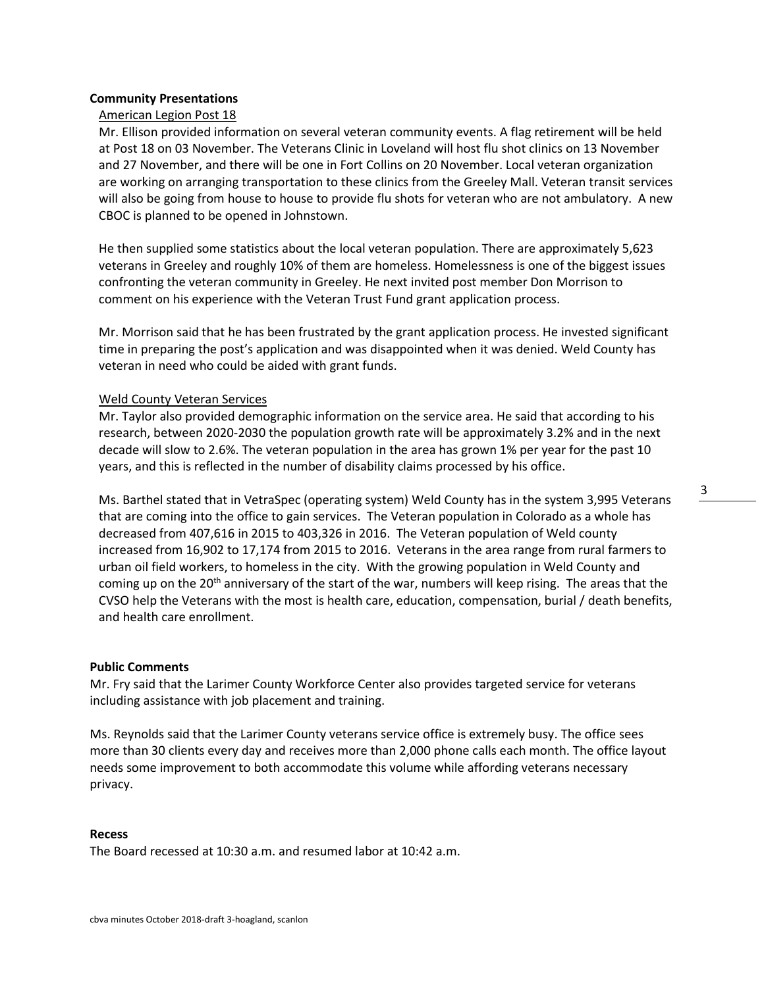## **Community Presentations**

## American Legion Post 18

Mr. Ellison provided information on several veteran community events. A flag retirement will be held at Post 18 on 03 November. The Veterans Clinic in Loveland will host flu shot clinics on 13 November and 27 November, and there will be one in Fort Collins on 20 November. Local veteran organization are working on arranging transportation to these clinics from the Greeley Mall. Veteran transit services will also be going from house to house to provide flu shots for veteran who are not ambulatory. A new CBOC is planned to be opened in Johnstown.

He then supplied some statistics about the local veteran population. There are approximately 5,623 veterans in Greeley and roughly 10% of them are homeless. Homelessness is one of the biggest issues confronting the veteran community in Greeley. He next invited post member Don Morrison to comment on his experience with the Veteran Trust Fund grant application process.

Mr. Morrison said that he has been frustrated by the grant application process. He invested significant time in preparing the post's application and was disappointed when it was denied. Weld County has veteran in need who could be aided with grant funds.

### Weld County Veteran Services

Mr. Taylor also provided demographic information on the service area. He said that according to his research, between 2020-2030 the population growth rate will be approximately 3.2% and in the next decade will slow to 2.6%. The veteran population in the area has grown 1% per year for the past 10 years, and this is reflected in the number of disability claims processed by his office.

Ms. Barthel stated that in VetraSpec (operating system) Weld County has in the system 3,995 Veterans that are coming into the office to gain services. The Veteran population in Colorado as a whole has decreased from 407,616 in 2015 to 403,326 in 2016. The Veteran population of Weld county increased from 16,902 to 17,174 from 2015 to 2016. Veterans in the area range from rural farmers to urban oil field workers, to homeless in the city. With the growing population in Weld County and coming up on the 20<sup>th</sup> anniversary of the start of the war, numbers will keep rising. The areas that the CVSO help the Veterans with the most is health care, education, compensation, burial / death benefits, and health care enrollment.

### **Public Comments**

Mr. Fry said that the Larimer County Workforce Center also provides targeted service for veterans including assistance with job placement and training.

Ms. Reynolds said that the Larimer County veterans service office is extremely busy. The office sees more than 30 clients every day and receives more than 2,000 phone calls each month. The office layout needs some improvement to both accommodate this volume while affording veterans necessary privacy.

### **Recess**

The Board recessed at 10:30 a.m. and resumed labor at 10:42 a.m.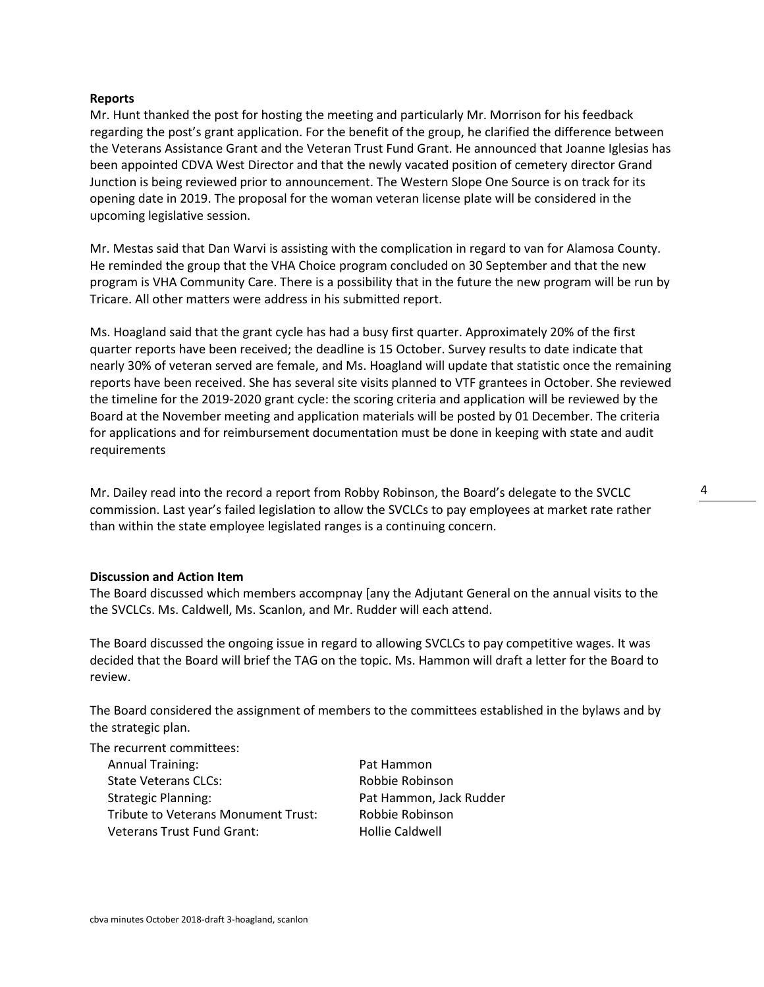## **Reports**

Mr. Hunt thanked the post for hosting the meeting and particularly Mr. Morrison for his feedback regarding the post's grant application. For the benefit of the group, he clarified the difference between the Veterans Assistance Grant and the Veteran Trust Fund Grant. He announced that Joanne Iglesias has been appointed CDVA West Director and that the newly vacated position of cemetery director Grand Junction is being reviewed prior to announcement. The Western Slope One Source is on track for its opening date in 2019. The proposal for the woman veteran license plate will be considered in the upcoming legislative session.

Mr. Mestas said that Dan Warvi is assisting with the complication in regard to van for Alamosa County. He reminded the group that the VHA Choice program concluded on 30 September and that the new program is VHA Community Care. There is a possibility that in the future the new program will be run by Tricare. All other matters were address in his submitted report.

Ms. Hoagland said that the grant cycle has had a busy first quarter. Approximately 20% of the first quarter reports have been received; the deadline is 15 October. Survey results to date indicate that nearly 30% of veteran served are female, and Ms. Hoagland will update that statistic once the remaining reports have been received. She has several site visits planned to VTF grantees in October. She reviewed the timeline for the 2019-2020 grant cycle: the scoring criteria and application will be reviewed by the Board at the November meeting and application materials will be posted by 01 December. The criteria for applications and for reimbursement documentation must be done in keeping with state and audit requirements

Mr. Dailey read into the record a report from Robby Robinson, the Board's delegate to the SVCLC commission. Last year's failed legislation to allow the SVCLCs to pay employees at market rate rather than within the state employee legislated ranges is a continuing concern.

### **Discussion and Action Item**

The Board discussed which members accompnay [any the Adjutant General on the annual visits to the the SVCLCs. Ms. Caldwell, Ms. Scanlon, and Mr. Rudder will each attend.

The Board discussed the ongoing issue in regard to allowing SVCLCs to pay competitive wages. It was decided that the Board will brief the TAG on the topic. Ms. Hammon will draft a letter for the Board to review.

The Board considered the assignment of members to the committees established in the bylaws and by the strategic plan.

The recurrent committees:

| <b>Annual Training:</b>                    |
|--------------------------------------------|
| State Veterans CLCs:                       |
| <b>Strategic Planning:</b>                 |
| <b>Tribute to Veterans Monument Trust:</b> |
| <b>Veterans Trust Fund Grant:</b>          |

Pat Hammon Robbie Robinson Pat Hammon, Jack Rudder Robbie Robinson Hollie Caldwell